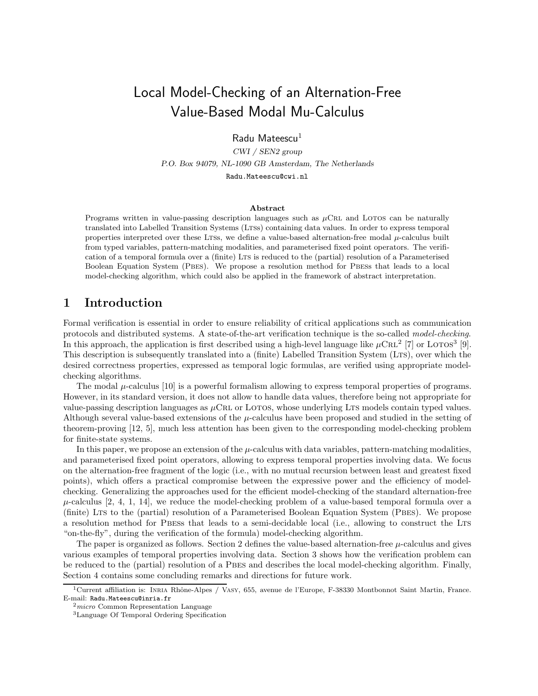# Local Model-Checking of an Alternation-Free Value-Based Modal Mu-Calculus

Radu Mateescu $<sup>1</sup>$ </sup>

CWI / SEN2 group P.O. Box 94079, NL-1090 GB Amsterdam, The Netherlands Radu.Mateescu@cwi.nl

#### Abstract

Programs written in value-passing description languages such as  $\mu$ CRL and LOTOS can be naturally translated into Labelled Transition Systems (LTSs) containing data values. In order to express temporal properties interpreted over these LTSs, we define a value-based alternation-free modal  $\mu$ -calculus built from typed variables, pattern-matching modalities, and parameterised fixed point operators. The verification of a temporal formula over a (finite) LTS is reduced to the (partial) resolution of a Parameterised Boolean Equation System (Pbes). We propose a resolution method for Pbess that leads to a local model-checking algorithm, which could also be applied in the framework of abstract interpretation.

### 1 Introduction

Formal verification is essential in order to ensure reliability of critical applications such as communication protocols and distributed systems. A state-of-the-art verification technique is the so-called model-checking. In this approach, the application is first described using a high-level language like  $\mu$ CRL<sup>2</sup> [7] or LOTOS<sup>3</sup> [9]. This description is subsequently translated into a (finite) Labelled Transition System (Lts), over which the desired correctness properties, expressed as temporal logic formulas, are verified using appropriate modelchecking algorithms.

The modal  $\mu$ -calculus [10] is a powerful formalism allowing to express temporal properties of programs. However, in its standard version, it does not allow to handle data values, therefore being not appropriate for value-passing description languages as  $\mu$ CRL or LOTOS, whose underlying LTS models contain typed values. Although several value-based extensions of the  $\mu$ -calculus have been proposed and studied in the setting of theorem-proving [12, 5], much less attention has been given to the corresponding model-checking problem for finite-state systems.

In this paper, we propose an extension of the  $\mu$ -calculus with data variables, pattern-matching modalities, and parameterised fixed point operators, allowing to express temporal properties involving data. We focus on the alternation-free fragment of the logic (i.e., with no mutual recursion between least and greatest fixed points), which offers a practical compromise between the expressive power and the efficiency of modelchecking. Generalizing the approaches used for the efficient model-checking of the standard alternation-free  $\mu$ -calculus [2, 4, 1, 14], we reduce the model-checking problem of a value-based temporal formula over a (finite) Lts to the (partial) resolution of a Parameterised Boolean Equation System (Pbes). We propose a resolution method for Pbess that leads to a semi-decidable local (i.e., allowing to construct the Lts "on-the-fly", during the verification of the formula) model-checking algorithm.

The paper is organized as follows. Section 2 defines the value-based alternation-free  $\mu$ -calculus and gives various examples of temporal properties involving data. Section 3 shows how the verification problem can be reduced to the (partial) resolution of a PBES and describes the local model-checking algorithm. Finally, Section 4 contains some concluding remarks and directions for future work.

<sup>&</sup>lt;sup>1</sup>Current affiliation is: INRIA Rhône-Alpes / VASY, 655, avenue de l'Europe, F-38330 Montbonnot Saint Martin, France. E-mail: Radu.Mateescu@inria.fr

 $2$ micro Common Representation Language

<sup>3</sup>Language Of Temporal Ordering Specification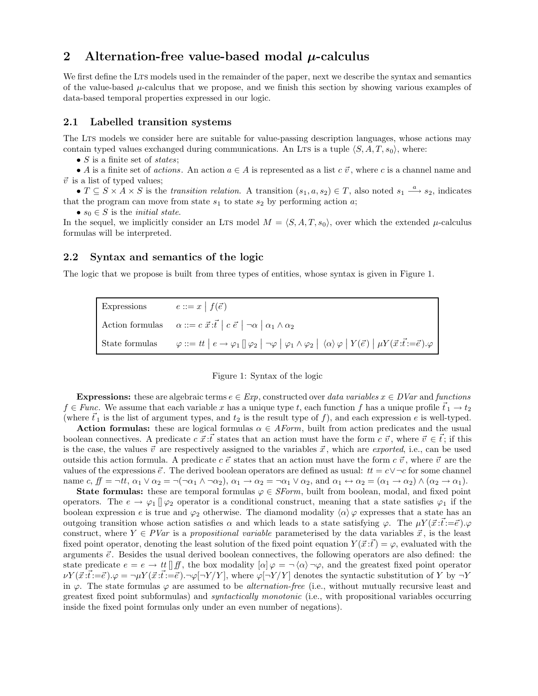## 2 Alternation-free value-based modal  $\mu$ -calculus

We first define the LTS models used in the remainder of the paper, next we describe the syntax and semantics of the value-based  $\mu$ -calculus that we propose, and we finish this section by showing various examples of data-based temporal properties expressed in our logic.

### 2.1 Labelled transition systems

The LTs models we consider here are suitable for value-passing description languages, whose actions may contain typed values exchanged during communications. An LTs is a tuple  $\langle S, A, T, s_0 \rangle$ , where:

•  $S$  is a finite set of *states*;

• A is a finite set of actions. An action  $a \in A$  is represented as a list  $c \vec{v}$ , where c is a channel name and  $\vec{v}$  is a list of typed values;

•  $T \subseteq S \times A \times S$  is the transition relation. A transition  $(s_1, a, s_2) \in T$ , also noted  $s_1 \stackrel{a}{\longrightarrow} s_2$ , indicates that the program can move from state  $s_1$  to state  $s_2$  by performing action a;

•  $s_0 \in S$  is the *initial state*.

In the sequel, we implicitly consider an LTS model  $M = \langle S, A, T, s_0 \rangle$ , over which the extended  $\mu$ -calculus formulas will be interpreted.

### 2.2 Syntax and semantics of the logic

The logic that we propose is built from three types of entities, whose syntax is given in Figure 1.

| Expressions | $e ::= x \mid f(\vec{e})$                                                                                                                                                                                                                  |
|-------------|--------------------------------------------------------------------------------------------------------------------------------------------------------------------------------------------------------------------------------------------|
|             | Action formulas $\alpha ::= c \vec{x} : \vec{t}   c \vec{e}   \neg \alpha   \alpha_1 \wedge \alpha_2$                                                                                                                                      |
|             | State formulas $\varphi ::= tt \mid e \rightarrow \varphi_1 \parallel \varphi_2 \mid \neg \varphi \mid \varphi_1 \land \varphi_2 \mid \langle \alpha \rangle \varphi \mid Y(\vec{e}) \mid \mu Y(\vec{x} \cdot \vec{t} := \vec{e}).\varphi$ |



Expressions: these are algebraic terms  $e \in Exp$ , constructed over data variables  $x \in DVar$  and functions  $f \in \text{Func}$ . We assume that each variable x has a unique type t, each function f has a unique profile  $\bar{t}_1 \to t_2$ (where  $\vec{t}_1$  is the list of argument types, and  $t_2$  is the result type of f), and each expression e is well-typed.

**Action formulas:** these are logical formulas  $\alpha \in AForm$ , built from action predicates and the usual boolean connectives. A predicate  $c \, \vec{x} \cdot \vec{t}$  states that an action must have the form  $c \, \vec{v}$ , where  $\vec{v} \in \vec{t}$ ; if this is the case, the values  $\vec{v}$  are respectively assigned to the variables  $\vec{x}$ , which are *exported*, i.e., can be used outside this action formula. A predicate  $c \, \vec{e}$  states that an action must have the form  $c \, \vec{v}$ , where  $\vec{v}$  are the values of the expressions  $\vec{e}$ . The derived boolean operators are defined as usual:  $tt = c \vee \neg c$  for some channel name c,  $f = \neg tt$ ,  $\alpha_1 \vee \alpha_2 = \neg(\neg \alpha_1 \wedge \neg \alpha_2)$ ,  $\alpha_1 \rightarrow \alpha_2 = \neg \alpha_1 \vee \alpha_2$ , and  $\alpha_1 \leftrightarrow \alpha_2 = (\alpha_1 \rightarrow \alpha_2) \wedge (\alpha_2 \rightarrow \alpha_1)$ .

**State formulas:** these are temporal formulas  $\varphi \in \mathit{SForm}$ , built from boolean, modal, and fixed point operators. The  $e \to \varphi_1 \parallel \varphi_2$  operator is a conditional construct, meaning that a state satisfies  $\varphi_1$  if the boolean expression e is true and  $\varphi_2$  otherwise. The diamond modality  $\langle \alpha \rangle \varphi$  expresses that a state has an outgoing transition whose action satisfies  $\alpha$  and which leads to a state satisfying  $\varphi$ . The  $\mu Y(\vec{x} : \vec{t}: = \vec{e} \setminus \varphi)$ construct, where  $Y \in \text{PVar}$  is a propositional variable parameterised by the data variables  $\vec{x}$ , is the least fixed point operator, denoting the least solution of the fixed point equation  $Y(\vec{x}:t) = \varphi$ , evaluated with the arguments  $\vec{e}$ . Besides the usual derived boolean connectives, the following operators are also defined: the state predicate  $e = e \to tt \parallel ff$ , the box modality  $[\alpha] \varphi = \neg \langle \alpha \rangle \neg \varphi$ , and the greatest fixed point operator  $\nu Y(\vec{x}:\vec{t}:=\vec{e})\cdot\varphi=\neg\mu Y(\vec{x}:\vec{t}:=\vec{e})\cdot\neg\varphi[\neg Y/Y],$  where  $\varphi[\neg Y/Y]$  denotes the syntactic substitution of Y by  $\neg Y$ in  $\varphi$ . The state formulas  $\varphi$  are assumed to be *alternation-free* (i.e., without mutually recursive least and greatest fixed point subformulas) and syntactically monotonic (i.e., with propositional variables occurring inside the fixed point formulas only under an even number of negations).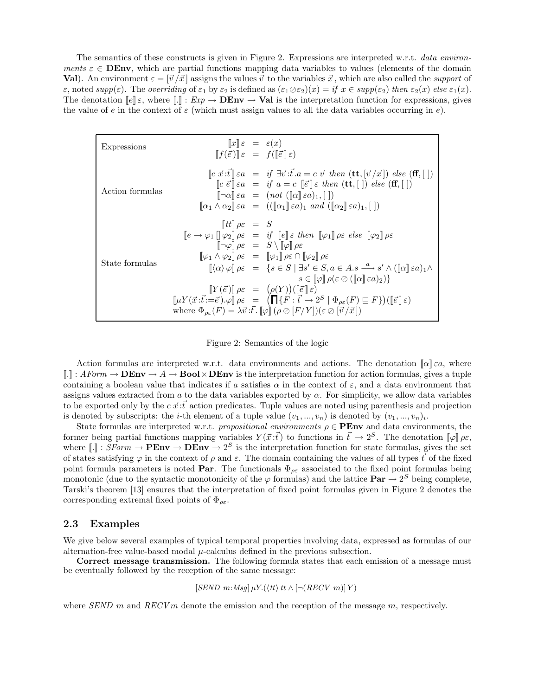The semantics of these constructs is given in Figure 2. Expressions are interpreted w.r.t. data environments  $\varepsilon \in$  **DEnv**, which are partial functions mapping data variables to values (elements of the domain **Val**). An environment  $\varepsilon = [\vec{v}/\vec{x}]$  assigns the values  $\vec{v}$  to the variables  $\vec{x}$ , which are also called the *support* of  $\varepsilon$ , noted supp( $\varepsilon$ ). The overriding of  $\varepsilon_1$  by  $\varepsilon_2$  is defined as  $(\varepsilon_1 \oslash \varepsilon_2)(x) = if x \in supp(\varepsilon_2)$  then  $\varepsilon_2(x)$  else  $\varepsilon_1(x)$ . The denotation  $\llbracket e \rrbracket \varepsilon$ , where  $\llbracket . \rrbracket$  :  $Exp \to \mathbf{DEnv} \to \mathbf{Val}$  is the interpretation function for expressions, gives the value of e in the context of  $\varepsilon$  (which must assign values to all the data variables occurring in e).

| Expressions     | $  x  \varepsilon = \varepsilon(x)$<br>$[[f(\vec{e})] \varepsilon = f([\vec{e}] \varepsilon)]$ |                                                                                                                                                                                                                                                                                                                                                                                                                                                                                                                                                                                                                                                                                                                                                                                                                                                                                                                                                                                                                                                                                                                                                                                                                                                                        |
|-----------------|------------------------------------------------------------------------------------------------|------------------------------------------------------------------------------------------------------------------------------------------------------------------------------------------------------------------------------------------------------------------------------------------------------------------------------------------------------------------------------------------------------------------------------------------------------------------------------------------------------------------------------------------------------------------------------------------------------------------------------------------------------------------------------------------------------------------------------------------------------------------------------------------------------------------------------------------------------------------------------------------------------------------------------------------------------------------------------------------------------------------------------------------------------------------------------------------------------------------------------------------------------------------------------------------------------------------------------------------------------------------------|
| Action formulas |                                                                                                | $\lbrack\!\lbrack c\ \vec{x}\ \!\cdot\!\vec{t}\rbrack\!\rbrack$ $\in$ $a = \mathit{if } \exists \vec{v}\ \!\cdot\!\vec{t}\ \!\cdot\!\vec{a} = c\ \vec{v}\ \text{ then } (\mathbf{t}\mathbf{t}, \lbrack \vec{v}\ / \vec{x}\rbrack)\ \text{else } (\mathbf{f}\mathbf{f}, \lbrack \rbrack)$<br>$\lbrack\!\lbrack c \ \vec{e} \rbrack\!\rbrack$ $\in$ $a = c \lbrack\!\lbrack \vec{e} \rbrack\!\rbrack$ $\in$ then $(\mathbf{tt}, \lbrack \rbrack)$ else $(\mathbf{ff}, \lbrack \rbrack)$<br>$[\neg \alpha] \varepsilon a = (not ([\alpha] \varepsilon a)_1, [\ ])$<br>$[\![\alpha_1 \wedge \alpha_2]\!] \varepsilon a = (([\![\alpha_1]\!] \varepsilon a)_1 \text{ and } ([\![\alpha_2]\!] \varepsilon a)_1, [\ ] )$                                                                                                                                                                                                                                                                                                                                                                                                                                                                                                                                                      |
| State formulas  | $\Vert tt \Vert \rho \varepsilon = S$                                                          | $\llbracket e \to \varphi_1 \rrbracket \varphi_2 \rrbracket \rho \varepsilon = \text{if } \llbracket e \rrbracket \varepsilon \text{ then } \llbracket \varphi_1 \rrbracket \rho \varepsilon \text{ else } \llbracket \varphi_2 \rrbracket \rho \varepsilon$<br>$\lbrack\!\lbrack\neg\varphi\rbrack\!\rbrack$ $\rho\varepsilon = S \setminus \lbrack\!\lbrack\varphi\rbrack\!\rbrack$ $\rho\varepsilon$<br>$[\![\varphi_1 \wedge \varphi_2]\!] \rho \varepsilon = [\![\varphi_1]\!] \rho \varepsilon \cap [\![\varphi_2]\!] \rho \varepsilon$<br>$[\![(\alpha)\,\varphi]\!] \rho \varepsilon = \{s \in S \mid \exists s' \in S, a \in A.s \xrightarrow{a} s' \wedge (\![(\alpha]\!][\,\varepsilon a)_1 \wedge$<br>$s \in \llbracket \varphi \rrbracket \rho(\varepsilon \oslash (\llbracket \alpha \rrbracket \varepsilon a)_2)$<br>$[Y(\vec{e})] \rho \varepsilon = (\rho(Y))([\vec{e}] \varepsilon)$<br>$\llbracket \mu Y(\vec{x}:\vec{t}:=\vec{e}) . \varphi \rrbracket \rho \varepsilon = (\prod \{F:\vec{t} \to 2^S \mid \Phi_{\rho \varepsilon}(F) \sqsubseteq F\}) (\llbracket \vec{e} \rrbracket \varepsilon)$<br>where $\Phi_{\rho \varepsilon}(F) = \lambda \vec{v} \cdot \vec{t}$ . $[\varphi] (\rho \oslash [F/Y])(\varepsilon \oslash [\vec{v}/\vec{x}])$ |

Figure 2: Semantics of the logic

Action formulas are interpreted w.r.t. data environments and actions. The denotation  $\llbracket \alpha \rrbracket$   $\in \alpha$ , where  $\llbracket . \rrbracket$ :  $A \text{Form} \rightarrow \textbf{DEN} \rightarrow A \rightarrow \textbf{Bool} \times \textbf{DEN}$  is the interpretation function for action formulas, gives a tuple containing a boolean value that indicates if a satisfies  $\alpha$  in the context of  $\varepsilon$ , and a data environment that assigns values extracted from a to the data variables exported by  $\alpha$ . For simplicity, we allow data variables to be exported only by the  $c \, \vec{x} \cdot \vec{t}$  action predicates. Tuple values are noted using parenthesis and projection is denoted by subscripts: the *i*-th element of a tuple value  $(v_1, ..., v_n)$  is denoted by  $(v_1, ..., v_n)_i$ .

State formulas are interpreted w.r.t. propositional environments  $\rho \in \mathbf{PEnv}$  and data environments, the former being partial functions mapping variables  $Y(\vec{x}:\vec{t})$  to functions in  $\vec{t} \to 2^S$ . The denotation  $[\varphi]\rho_{\varepsilon}$ , where  $[\cdot] : SForm \to \mathbf{PEnv} \to \mathbf{DEnv} \to 2^S$  is the interpretation function for state formulas, gives the set of states satisfying  $\varphi$  in the context of  $\rho$  and  $\varepsilon$ . The domain containing the values of all types  $\vec{t}$  of the fixed point formula parameters is noted **Par**. The functionals  $\Phi_{\rho\varepsilon}$  associated to the fixed point formulas being monotonic (due to the syntactic monotonicity of the  $\varphi$  formulas) and the lattice  $\text{Par} \to 2^S$  being complete, Tarski's theorem [13] ensures that the interpretation of fixed point formulas given in Figure 2 denotes the corresponding extremal fixed points of  $\Phi_{\rho\varepsilon}$ .

#### 2.3 Examples

We give below several examples of typical temporal properties involving data, expressed as formulas of our alternation-free value-based modal  $\mu$ -calculus defined in the previous subsection.

Correct message transmission. The following formula states that each emission of a message must be eventually followed by the reception of the same message:

 $[SEND \ m:Msg] \mu Y. (\langle tt \rangle \ tt \wedge [\neg (RECV \ m)] \ Y)$ 

where SEND m and  $RECVM$  denote the emission and the reception of the message m, respectively.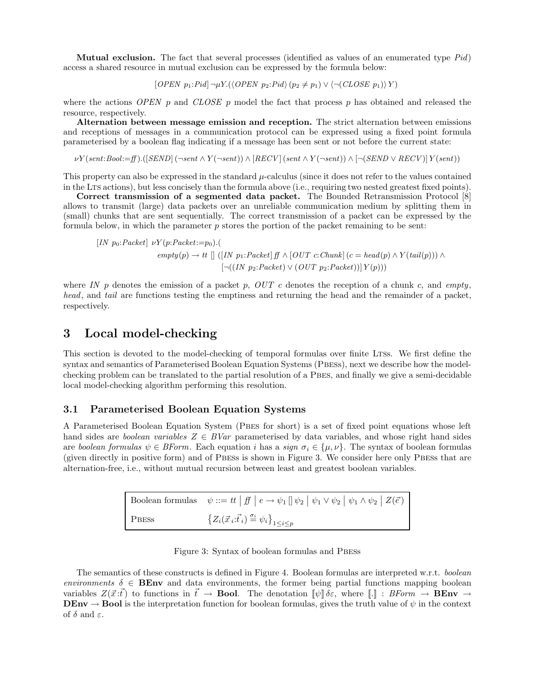**Mutual exclusion.** The fact that several processes (identified as values of an enumerated type  $Pid$ ) access a shared resource in mutual exclusion can be expressed by the formula below:

 $[OPEN p_1:Pid] \neg \mu Y. (\langle OPEN p_2:Pid \rangle (p_2 \neq p_1) \vee (\neg (CLOSE p_1)) Y)$ 

where the actions OPEN p and CLOSE p model the fact that process p has obtained and released the resource, respectively.

Alternation between message emission and reception. The strict alternation between emissions and receptions of messages in a communication protocol can be expressed using a fixed point formula parameterised by a boolean flag indicating if a message has been sent or not before the current state:

 $\nu Y (sent:Bool := ff) . ([SEND ( \neg sent \wedge Y ( \neg sent) ) \wedge [RECV ( sent \wedge Y ( \neg sent) ) \wedge [ \neg (SEND \vee RECV )] Y (sent) )$ 

This property can also be expressed in the standard  $\mu$ -calculus (since it does not refer to the values contained in the LTS actions), but less concisely than the formula above (i.e., requiring two nested greatest fixed points).

Correct transmission of a segmented data packet. The Bounded Retransmission Protocol [8] allows to transmit (large) data packets over an unreliable communication medium by splitting them in (small) chunks that are sent sequentially. The correct transmission of a packet can be expressed by the formula below, in which the parameter  $p$  stores the portion of the packet remaining to be sent:

$$
[IN p_0:Packet] \nu Y(p:Packet := p_0).(\nempty) \rightarrow tt \quad \text{[ (IN p_1:Packet] f} \land [OUT c:chunk] (c = head(p) \land Y(tail(p))) \land \text{[-((IN p_2:Packet) \lor (OUT p_2:Packet))] Y(p)))}
$$

where IN p denotes the emission of a packet p,  $OUT\ c$  denotes the reception of a chunk c, and empty, head, and tail are functions testing the emptiness and returning the head and the remainder of a packet, respectively.

### 3 Local model-checking

This section is devoted to the model-checking of temporal formulas over finite LTSs. We first define the syntax and semantics of Parameterised Boolean Equation Systems (PBESS), next we describe how the modelchecking problem can be translated to the partial resolution of a Pbes, and finally we give a semi-decidable local model-checking algorithm performing this resolution.

### 3.1 Parameterised Boolean Equation Systems

A Parameterised Boolean Equation System (Pbes for short) is a set of fixed point equations whose left hand sides are *boolean variables*  $Z \in BVar$  parameterised by data variables, and whose right hand sides are boolean formulas  $\psi \in B\text{Form}$ . Each equation i has a sign  $\sigma_i \in {\{\mu,\nu\}}$ . The syntax of boolean formulas (given directly in positive form) and of Pbess is shown in Figure 3. We consider here only Pbess that are alternation-free, i.e., without mutual recursion between least and greatest boolean variables.

|              | Boolean formulas $\psi ::= tt   ff   e \rightarrow \psi_1 [\psi_2   \psi_1 \vee \psi_2   \psi_1 \wedge \psi_2   Z(\vec{e}) ]$ |
|--------------|-------------------------------------------------------------------------------------------------------------------------------|
| <b>PBESS</b> | ${Z_i(\vec{x}_i;\vec{t}_i) \stackrel{\sigma_i}{=} \psi_i}_{1 \leq i \leq p}$                                                  |

|  |  | Figure 3: Syntax of boolean formulas and PBESS |  |  |
|--|--|------------------------------------------------|--|--|
|--|--|------------------------------------------------|--|--|

The semantics of these constructs is defined in Figure 4. Boolean formulas are interpreted w.r.t. boolean environments  $\delta \in \mathbf{BEnv}$  and data environments, the former being partial functions mapping boolean variables  $Z(\vec{x}:\vec{t})$  to functions in  $\vec{t} \to \textbf{Bool}$ . The denotation  $[\psi] \delta \varepsilon$ , where  $[\cdot]$  : BForm  $\to \textbf{BEnv} \to \textbf{C}$ **DEnv**  $\rightarrow$  **Bool** is the interpretation function for boolean formulas, gives the truth value of  $\psi$  in the context of  $\delta$  and  $\varepsilon$ .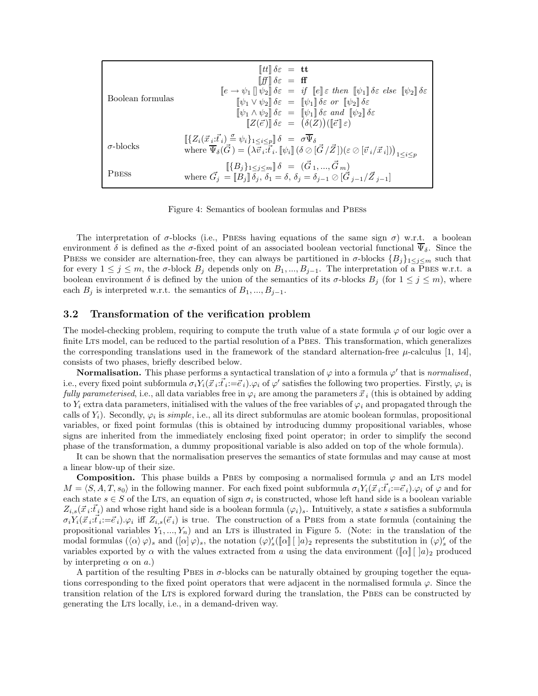| Boolean formulas | $\llbracket tt \rrbracket \delta \varepsilon = \mathbf{t} \mathbf{t}$<br>$\llbracket ff \rrbracket \delta \varepsilon = ff$<br>$\llbracket e \to \psi_1 \rrbracket \, \psi_2 \rrbracket \, \delta \varepsilon = \text{if} \, \llbracket e \rrbracket \varepsilon \text{ then } \llbracket \psi_1 \rrbracket \, \delta \varepsilon \text{ else } \llbracket \psi_2 \rrbracket \, \delta \varepsilon$<br>$[\![\psi_1 \vee \psi_2]\!] \delta \varepsilon = [\![\psi_1]\!] \delta \varepsilon$ or $[\![\psi_2]\!] \delta \varepsilon$<br>$[\![\psi_1 \wedge \psi_2]\!] \delta \varepsilon = [\![\psi_1]\!] \delta \varepsilon$ and $[\![\psi_2]\!] \delta \varepsilon$<br>$Z(\vec{e})\mathbb{I}\delta\varepsilon = (\delta(Z))(\mathbb{I}\vec{e}\mathbb{I}\varepsilon)$ |
|------------------|---------------------------------------------------------------------------------------------------------------------------------------------------------------------------------------------------------------------------------------------------------------------------------------------------------------------------------------------------------------------------------------------------------------------------------------------------------------------------------------------------------------------------------------------------------------------------------------------------------------------------------------------------------------------------------------------------------------------------------------------------------------------|
| $\sigma$ -blocks | $[\{Z_i(\vec{x}_i;\vec{t}_i) \stackrel{\sigma}{=} \psi_i\}_{1\leq i\leq p}]\delta = \sigma\overline{\Psi}_{\delta}$<br>where $\overline{\Psi}_{\delta}(\vec{G}) = (\lambda \overline{\vec{v}_i} \cdot \overline{\vec{t}_i}, [\psi_i] (\delta \oslash [\vec{G}/\vec{Z}])(\varepsilon \oslash [\vec{v}_i/\vec{x}_i]))_{1 \leq i \leq p}$                                                                                                                                                                                                                                                                                                                                                                                                                              |
| <b>PBESS</b>     | $[\![\{B_j\}_{1\leq j\leq m}]\!] \delta = (\vec{G}_1,,\vec{G}_m)$<br>where $\vec{G}_i = [\vec{B}_i] \vec{\delta}_i$ , $\vec{\delta}_1 = \delta$ , $\delta_i = \delta_{i-1} \oslash [\vec{G}_{i-1}/\vec{Z}_{i-1}]$                                                                                                                                                                                                                                                                                                                                                                                                                                                                                                                                                   |

Figure 4: Semantics of boolean formulas and PBESS

The interpretation of  $\sigma$ -blocks (i.e., PBESS having equations of the same sign  $\sigma$ ) w.r.t. a boolean environment  $\delta$  is defined as the  $\sigma$ -fixed point of an associated boolean vectorial functional  $\Psi_{\delta}$ . Since the PBESS we consider are alternation-free, they can always be partitioned in  $\sigma$ -blocks  $\{B_j\}_{1\leq j\leq m}$  such that for every  $1 \leq j \leq m$ , the  $\sigma$ -block  $B_j$  depends only on  $B_1, ..., B_{j-1}$ . The interpretation of a PBES w.r.t. a boolean environment  $\delta$  is defined by the union of the semantics of its  $\sigma$ -blocks  $B_j$  (for  $1 \leq j \leq m$ ), where each  $B_i$  is interpreted w.r.t. the semantics of  $B_1, ..., B_{i-1}$ .

#### 3.2 Transformation of the verification problem

The model-checking problem, requiring to compute the truth value of a state formula  $\varphi$  of our logic over a finite LTS model, can be reduced to the partial resolution of a PBES. This transformation, which generalizes the corresponding translations used in the framework of the standard alternation-free  $\mu$ -calculus [1, 14], consists of two phases, briefly described below.

**Normalisation.** This phase performs a syntactical translation of  $\varphi$  into a formula  $\varphi'$  that is *normalised*, i.e., every fixed point subformula  $\sigma_i Y_i(\vec{x}_i : \vec{t}_i := \vec{e}_i) . \varphi_i$  of  $\varphi'$  satisfies the following two properties. Firstly,  $\varphi_i$  is *fully parameterised*, i.e., all data variables free in  $\varphi_i$  are among the parameters  $\vec{x}_i$  (this is obtained by adding to Y<sub>i</sub> extra data parameters, initialised with the values of the free variables of  $\varphi_i$  and propagated through the calls of  $Y_i$ ). Secondly,  $\varphi_i$  is *simple*, i.e., all its direct subformulas are atomic boolean formulas, propositional variables, or fixed point formulas (this is obtained by introducing dummy propositional variables, whose signs are inherited from the immediately enclosing fixed point operator; in order to simplify the second phase of the transformation, a dummy propositional variable is also added on top of the whole formula).

It can be shown that the normalisation preserves the semantics of state formulas and may cause at most a linear blow-up of their size.

**Composition.** This phase builds a PBES by composing a normalised formula  $\varphi$  and an LTS model  $M = \langle S, A, T, s_0 \rangle$  in the following manner. For each fixed point subformula  $\sigma_i Y_i(\vec{x}_i : \vec{t}_i := \vec{e}_i) \cdot \varphi_i$  of  $\varphi$  and for each state  $s \in S$  of the LTS, an equation of sign  $\sigma_i$  is constructed, whose left hand side is a boolean variable  $Z_{i,s}(\vec{x}_i;\vec{t}_i)$  and whose right hand side is a boolean formula  $(\varphi_i)_s$ . Intuitively, a state s satisfies a subformula  $\sigma_i Y_i(\vec{x}_i;\vec{t}_i:=\vec{e}_i).\varphi_i$  iff  $Z_{i,s}(\vec{e}_i)$  is true. The construction of a PBES from a state formula (containing the propositional variables  $Y_1, ..., Y_n$ ) and an LTs is illustrated in Figure 5. (Note: in the translation of the modal formulas  $({\langle \alpha \rangle} \varphi)_s$  and  $({\langle \alpha | \varphi \rangle}_s)$ , the notation  $({\varphi})'_s({\langle \alpha |} {\langle \alpha |} {\langle \alpha |} {\rangle}_s)$  represents the substitution in  $({\varphi})'_s$  of the variables exported by  $\alpha$  with the values extracted from a using the data environment  $(\llbracket \alpha \rrbracket \mid a)_2$  produced by interpreting  $\alpha$  on  $\alpha$ .)

A partition of the resulting PBES in  $\sigma$ -blocks can be naturally obtained by grouping together the equations corresponding to the fixed point operators that were adjacent in the normalised formula  $\varphi$ . Since the transition relation of the Lts is explored forward during the translation, the Pbes can be constructed by generating the LTS locally, i.e., in a demand-driven way.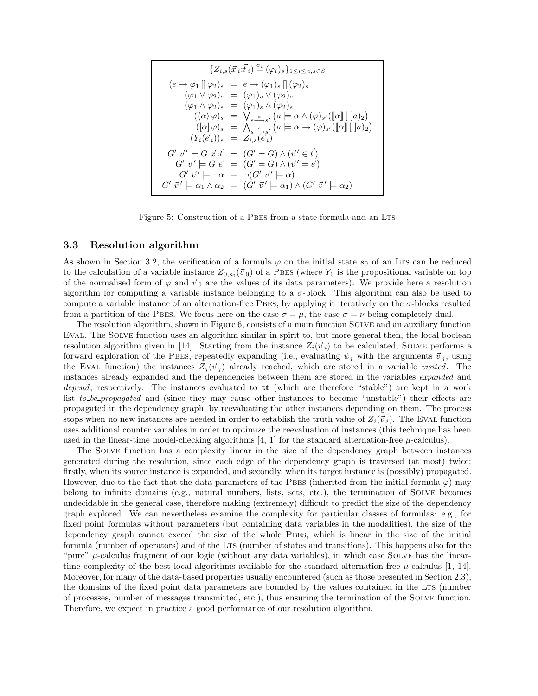$$
\{Z_{i,s}(\vec{x}_i:\vec{t}_i) \stackrel{\sigma_i}{=} (\varphi_i)_s\}_{1 \le i \le n, s \in S}
$$
  
\n
$$
(e \rightarrow \varphi_1 \parallel \varphi_2)_s = e \rightarrow (\varphi_1)_s \parallel (\varphi_2)_s
$$
  
\n
$$
(\varphi_1 \lor \varphi_2)_s = (\varphi_1)_s \lor (\varphi_2)_s
$$
  
\n
$$
(\varphi_1 \land \varphi_2)_s = (\varphi_1)_s \land (\varphi_2)_s
$$
  
\n
$$
((\alpha \lor \varphi)_s = \bigvee_{s \stackrel{a}{\longrightarrow} s'} (a \models \alpha \land (\varphi)_{s'}([\![\alpha]\!][\![\!]a)_2)
$$
  
\n
$$
([\![\alpha]\!]\varphi)_s = \bigwedge_{s \stackrel{a}{\longrightarrow} s'} (a \models \alpha \rightarrow (\varphi)_{s'}([\![\alpha]\!][\![\!]a)_2)
$$
  
\n
$$
(Y_i(\vec{e}_i))_s = Z_{i,s}(\vec{e}_i)
$$
  
\n
$$
G' \vec{v}' \models G \vec{v} \vec{v} = (G' = G) \land (\vec{v}' \in \vec{t})
$$
  
\n
$$
G' \vec{v}' \models \neg \alpha = \neg(G' \vec{v}' \models \alpha)
$$
  
\n
$$
G' \vec{v}' \models \neg \alpha = \neg(G' \vec{v}' \models \alpha_1) \land (G' \vec{v}' \models \alpha_2)
$$

Figure 5: Construction of a PBES from a state formula and an LTS

#### 3.3 Resolution algorithm

As shown in Section 3.2, the verification of a formula  $\varphi$  on the initial state  $s_0$  of an LTs can be reduced to the calculation of a variable instance  $Z_{0,s_0}(\vec{v}_0)$  of a PBES (where  $Y_0$  is the propositional variable on top of the normalised form of  $\varphi$  and  $\vec{v}_0$  are the values of its data parameters). We provide here a resolution algorithm for computing a variable instance belonging to a  $\sigma$ -block. This algorithm can also be used to compute a variable instance of an alternation-free PBES, by applying it iteratively on the  $\sigma$ -blocks resulted from a partition of the PBES. We focus here on the case  $\sigma = \mu$ , the case  $\sigma = \nu$  being completely dual.

The resolution algorithm, shown in Figure 6, consists of a main function Solve and an auxiliary function Eval. The Solve function uses an algorithm similar in spirit to, but more general then, the local boolean resolution algorithm given in [14]. Starting from the instance  $Z_i(\vec{v}_i)$  to be calculated, SOLVE performs a forward exploration of the PBES, repeatedly expanding (i.e., evaluating  $\psi_j$  with the arguments  $\vec{v}_j$ , using the EVAL function) the instances  $Z_j(\vec{v}_j)$  already reached, which are stored in a variable *visited*. The instances already expanded and the dependencies between them are stored in the variables expanded and depend, respectively. The instances evaluated to **tt** (which are therefore "stable") are kept in a work list to be propagated and (since they may cause other instances to become "unstable") their effects are propagated in the dependency graph, by reevaluating the other instances depending on them. The process stops when no new instances are needed in order to establish the truth value of  $Z_i(\vec{v}_i)$ . The EVAL function uses additional counter variables in order to optimize the reevaluation of instances (this technique has been used in the linear-time model-checking algorithms [4, 1] for the standard alternation-free  $\mu$ -calculus).

The Solve function has a complexity linear in the size of the dependency graph between instances generated during the resolution, since each edge of the dependency graph is traversed (at most) twice: firstly, when its source instance is expanded, and secondly, when its target instance is (possibly) propagated. However, due to the fact that the data parameters of the PBES (inherited from the initial formula  $\varphi$ ) may belong to infinite domains (e.g., natural numbers, lists, sets, etc.), the termination of Solve becomes undecidable in the general case, therefore making (extremely) difficult to predict the size of the dependency graph explored. We can nevertheless examine the complexity for particular classes of formulas: e.g., for fixed point formulas without parameters (but containing data variables in the modalities), the size of the dependency graph cannot exceed the size of the whole PBES, which is linear in the size of the initial formula (number of operators) and of the LTS (number of states and transitions). This happens also for the "pure"  $\mu$ -calculus fragment of our logic (without any data variables), in which case SOLVE has the lineartime complexity of the best local algorithms available for the standard alternation-free  $\mu$ -calculus [1, 14]. Moreover, for many of the data-based properties usually encountered (such as those presented in Section 2.3), the domains of the fixed point data parameters are bounded by the values contained in the Lts (number of processes, number of messages transmitted, etc.), thus ensuring the termination of the Solve function. Therefore, we expect in practice a good performance of our resolution algorithm.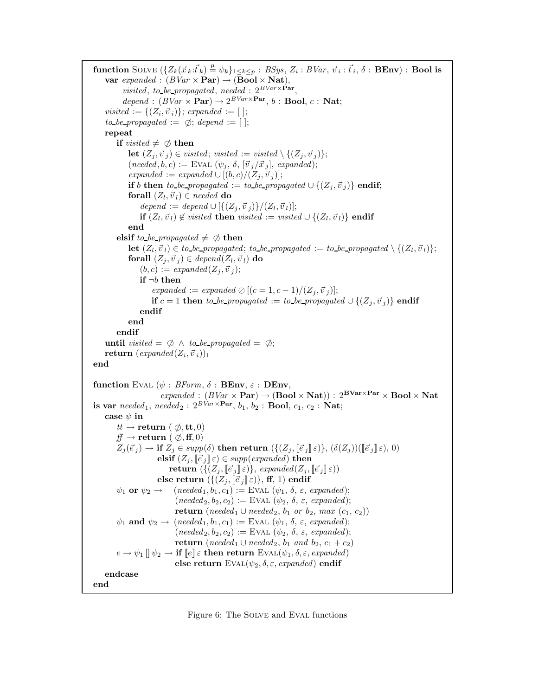function SOLVE  $(\{Z_k(\vec{x}_k:\vec{t}_k) \stackrel{\mu}{=} \psi_k\}_{1\leq k\leq p} : BSys, Z_i : BVar, \vec{v}_i : \vec{t}_i, \delta : \textbf{BEnv}) : \textbf{Bool is}$ var expanded :  $(BVar \times \text{Par}) \rightarrow (\text{Bool} \times \text{Nat}),$ visited, to be propagated, needed :  $2^{BVar\times Par}$ ,  $depend : (BVar \times \mathbf{Par}) \rightarrow 2^{BVar \times \mathbf{Par}}, b : \mathbf{Bool}, c : \mathbf{Nat};$  $visited := \{(Z_i, \vec{v}_i)\};$  expanded := []; to be propagated :=  $\emptyset$ ; depend := []; repeat if visited  $\neq \emptyset$  then let  $(Z_i, \vec{v}_i) \in visited; visited := visited \setminus \{(Z_i, \vec{v}_i)\};$  $(needed, b, c) := \text{EVAL}(\psi_i, \delta, [\vec{v}_j/\vec{x}_j], expanded);$ expanded := expanded ∪  $[(b, c)/(Z_i, \vec{v}_i)]$ ; if b then to be propagated := to be propagated  $\cup$  { $(Z_i, \vec{v}_i)$ } endif; forall  $(Z_l, \vec{v}_l) \in needed$  do  $depend := depend \cup [\{(Z_j, \vec{v}_j)\}/(Z_l, \vec{v}_l)];$  $\textbf{if} \ (Z_l, {\vec v}_l) \not \in \textit{visited} \ \textbf{then} \ \textit{visited} := \textit{visited} \cup \{(Z_l, {\vec v}_l)\} \ \textbf{endif}$ end elsif to be propagated  $\neq \emptyset$  then  $\textbf{let}~(Z_l, \vec{v}_l) \in$  to be propagated; to be propagated := to be propagated  $\setminus \{(Z_l, \vec{v}_l)\};$ forall  $(Z_j,\vec{v}_j )\in \mathit{depend}(Z_l,\vec{v}_l )$  do  $(b, c) := expanded(Z_i, \vec{v}_i);$ if  $\neg b$  then expanded := expanded  $\oslash$   $[(c = 1, c - 1)/(Z_i, \vec{v}_j)];$ if c = 1 then to be propagated := to be propagated  $\cup$  { $(Z_i, \vec{v}_j)$ } endif endif end endif until visited =  $\emptyset \land$  to be propagated =  $\emptyset$ ;  $\textbf{return} \,\, (expanded(Z_i, \vec{v}_i))_1$ end function EVAL  $(\psi : BForm, \delta : BEnv, \varepsilon : DEnv,$  $\mathit{expanded} : (BVar \times \mathbf{Par}) \rightarrow (\mathbf{Bool} \times \mathbf{Nat})) : 2^{\mathbf{BVar} \times \mathbf{Par}} \times \mathbf{Bool} \times \mathbf{Nat}$ is var  $needed_1, needed_2: 2^{BVar \times \textbf{Par}}, b_1, b_2: \textbf{Bool}, c_1, c_2: \textbf{Nat};$ case  $\psi$  in  $tt \rightarrow \textbf{return}$  (  $\emptyset$ , tt, 0)  $ff \rightarrow$  return (  $\emptyset$ , ff, 0)  $Z_j(\vec{e}_j) \to \textbf{if } Z_j \in \text{supp}(\delta) \textbf{ then } \textbf{return } (\{(Z_j, [\![\vec{e}_j]\!]\!] \varepsilon) \}, (\delta(Z_j))([\![\vec{e}_j]\!] \varepsilon), 0)$ elsif  $(Z_j, [\![\vec{e}_j]\!]\!] \varepsilon) \in supp(expanded)$  then return  $(\{(Z_j, [\vec{e}_j] \varepsilon)\},\, expanded(Z_j, [\vec{e}_j] \varepsilon))$ else return  $({Z_j, [\vec{e}_j] \varepsilon) },$  ff, 1) endif  $\psi_1$  or  $\psi_2 \rightarrow$  (needed<sub>1</sub>, b<sub>1</sub>, c<sub>1</sub>) := EVAL ( $\psi_1$ ,  $\delta$ ,  $\varepsilon$ , expanded);  $(needed_2, b_2, c_2) :=$  EVAL  $(\psi_2, \delta, \varepsilon, expanded);$ return (needed $_1 \cup$ needed $_2$ ,  $b_1$  or  $b_2$ , max  $(c_1, c_2)$ )  $\psi_1$  and  $\psi_2 \rightarrow$  (needed<sub>1</sub>, b<sub>1</sub>, c<sub>1</sub>) := EVAL ( $\psi_1$ ,  $\delta$ ,  $\varepsilon$ , expanded);  $(needed_2, b_2, c_2) :=$  EVAL  $(\psi_2, \delta, \varepsilon, expanded);$ return (needed<sub>1</sub> ∪ needed<sub>2</sub>, b<sub>1</sub> and b<sub>2</sub>, c<sub>1</sub> + c<sub>2</sub>)  $e \rightarrow \psi_1 \parallel \psi_2 \rightarrow \text{if } \llbracket e \rrbracket \varepsilon$  then return EVAL $(\psi_1, \delta, \varepsilon, expanded)$ else return  $EVAL(\psi_2, \delta, \varepsilon, expanded)$  endif endcase end